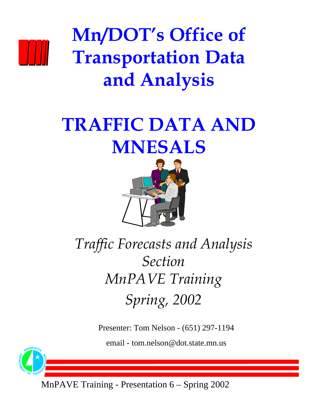

**Mn/DOT's Office of Transportation Data and Analysis**

## **TRAFFIC DATA AND MNESALS**



### *Traffic Forecasts and Analysis Section MnPAVE Training Spring, 2002*

Presenter: Tom Nelson - (651) 297-1194

email - tom.nelson@dot.state.mn.us



MnPAVE Training - Presentation 6 – Spring 2002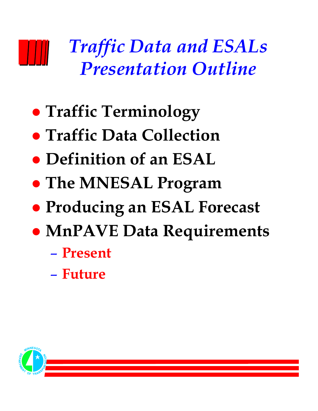## *Traffic Data and ESALs Presentation Outline*

- **Traffic Terminology**
- **Traffic Data Collection**
- **Definition of an ESAL**
- **The MNESAL Program**
- **Producing an ESAL Forecast**
- **MnPAVE Data Requirements** 
	- **Present**
	- **Future**

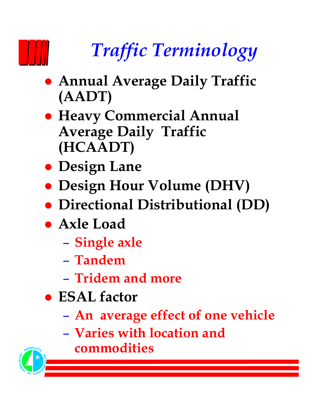# *Traffic Terminology*

- **Annual Average Daily Traffic (AADT)**
- **Heavy Commercial Annual Average Daily Traffic (HCAADT)**
- **Design Lane**
- **Design Hour Volume (DHV)**
- z **Directional Distributional (DD)**
- **Axle Load** 
	- **Single axle**
	- **Tandem**
	- **Tridem and more**
- z **ESAL factor**
	- **An average effect of one vehicle**
	- **Varies with location and commodities**

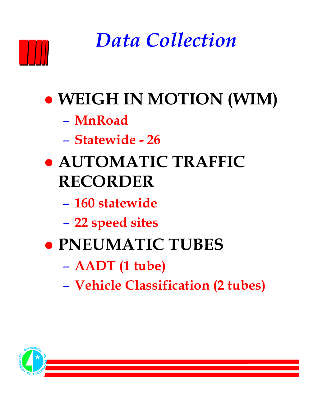## *Data Collection*

- **WEIGH IN MOTION (WIM)** 
	- **MnRoad**
	- **Statewide 26**
- z **AUTOMATIC TRAFFIC RECORDER**
	- **160 statewide**
	- **22 speed sites**
- z **PNEUMATIC TUBES**
	- **AADT (1 tube)**
	- **Vehicle Classification (2 tubes)**

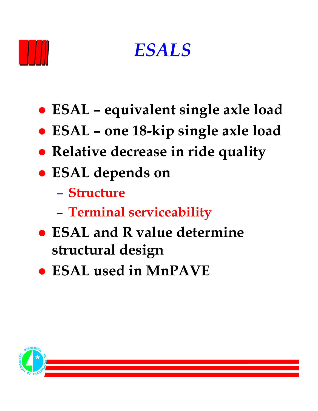



- **ESAL equivalent single axle load**
- z **ESAL one 18-kip single axle load**
- **Relative decrease in ride quality**
- z **ESAL depends on**
	- **Structure**
	- **Terminal serviceability**
- **ESAL and R value determine structural design**
- $\bullet$  **ESAL used in MnPAVE**

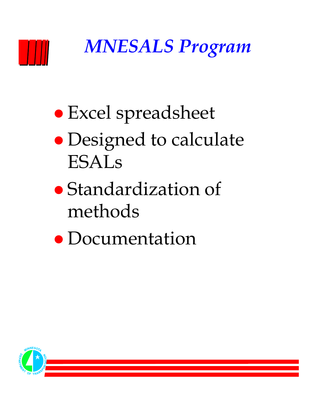

*MNESALS Program*

- Excel spreadsheet
- Designed to calculate ESALs
- Standardization of methods
- Documentation

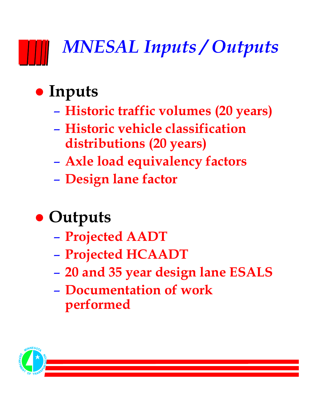# *MNESAL Inputs / Outputs*

### **• Inputs**

- **Historic traffic volumes (20 years)**
- **Historic vehicle classification distributions (20 years)**
- **Axle load equivalency factors**
- **Design lane factor**

## **• Outputs**

- **Projected AADT**
- **Projected HCAADT**
- **20 and 35 year design lane ESALS**
- **Documentation of work performed**

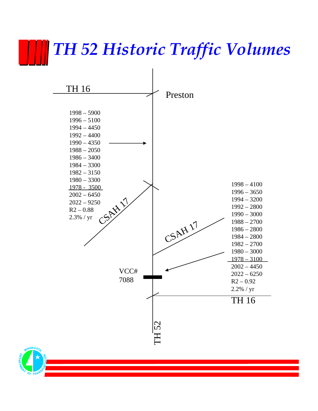## *TH 52 Historic Traffic Volumes*



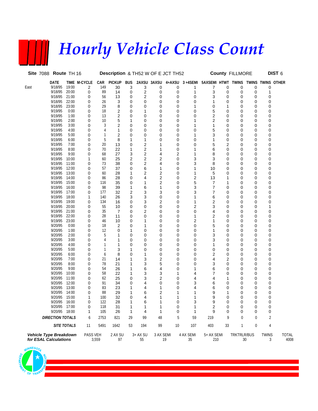## *Hourly Vehicle Class Count*

|      | Site 7088 Route TH 16                           |                |              |                | Description & TH52 W OF E JCT TH52 |            |                 |             |        |                 |                   |              | <b>County FILLMORE</b> |             |                   | DIST <sub>6</sub>    |
|------|-------------------------------------------------|----------------|--------------|----------------|------------------------------------|------------|-----------------|-------------|--------|-----------------|-------------------|--------------|------------------------|-------------|-------------------|----------------------|
|      | DATE                                            |                | TIME M-CYCLE | CAR            | <b>PICKUP</b>                      | <b>BUS</b> |                 | 2AXSU 3AXSU | 4+AXSU | $3 + 4$ SEMI    | 5AXSEMI HTWT      |              | <b>TWINS</b>           |             | TWINS TWINS OTHER |                      |
| East | 9/18/95                                         | 19:00          | 2            | 149            | 30                                 | 3          | 3               | 0           | 0      | 1               | 7                 | 0            | 0                      | 0           | 0                 |                      |
|      | 9/18/95                                         | 20:00          | 0            | 89             | 14                                 | 0          | 2               | 0           | 0      | 1               | 3                 | 0            | 0                      | 0           | 1                 |                      |
|      | 9/18/95<br>9/18/95                              | 21:00<br>22:00 | 0            | 56<br>26       | 13                                 | 0          | 2               | 0           | 0      | 0<br>0          | 3                 | 0            | 0                      | 0<br>0      | 0                 |                      |
|      | 9/18/95                                         | 23:00          | 0<br>0       | 29             | 3<br>8                             | 0<br>0     | 0<br>0          | 0<br>0      | 0<br>0 | 1               | 1<br>0            | 0<br>1       | 0<br>0                 | 0           | 0<br>0            |                      |
|      | 9/19/95                                         | 0:00           | 0            | 18             | 2                                  | 0          | 1               | 0           | 0      | 0               | 5                 | 0            | 0                      | 0           | 0                 |                      |
|      | 9/19/95                                         | 1:00           | 0            | 13             | $\overline{2}$                     | 0          | 0               | 0           | 0      | 0               | 2                 | 0            | 0                      | 0           | 0                 |                      |
|      | 9/19/95                                         | 2:00           | 0            | 10             | 5                                  | 1          | 0               | 0           | 0      | 1               | 2                 | 0            | 0                      | 0           | 0                 |                      |
|      | 9/19/95                                         | 3:00           | 0            | 3              | 2                                  | 0          | 0               | 0           | 0      | 1               | 1                 | 0            | 0                      | 0           | 0                 |                      |
|      | 9/19/95                                         | 4:00           | 0            | $\overline{4}$ | 1                                  | 0          | 0               | 0           | 0      | 0               | 5                 | 0            | 0                      | 0           | 0                 |                      |
|      | 9/19/95                                         | 5:00           | 0            | 1              | 2                                  | 0          | 0               | 0           | 0      | 1               | 3                 | 0            | 0                      | 0           | 0                 |                      |
|      | 9/19/95                                         | 6:00           | 0            | 5              | 8                                  | 1          | 1               | 0           | 0      | 0               | 1                 | 0            | 0                      | 0           | 0                 |                      |
|      | 9/19/95                                         | 7:00           | 0            | 20             | 13                                 | 0          | 2               | 1           | 0      | 0               | 5                 | 2            | 0                      | 0           | 0                 |                      |
|      | 9/19/95                                         | 8:00           | 0            | 70             | 22                                 | 1          | 2               | 1           | 0      | 1               | 6                 | 0            | 0                      | 0           | 0                 |                      |
|      | 9/19/95<br>9/19/95                              | 9:00<br>10:00  | 0            | 68             | 27                                 | 3          | 2               | 4           | 2      | 1               | 8                 | 0            | 0                      | 0           | 0                 |                      |
|      | 9/19/95                                         | 11:00          | 1<br>0       | 60<br>73       | 25<br>38                           | 2<br>0     | 2<br>2          | 2<br>4      | 0<br>0 | 3<br>3          | 3<br>8            | 0<br>0       | 0<br>0                 | 0<br>0      | 0<br>0            |                      |
|      | 9/19/95                                         | 12:00          | 0            | 57             | 37                                 | 0          | 6               | 1           | 0      | 1               | 10                | 0            | 0                      | 0           | 0                 |                      |
|      | 9/19/95                                         | 13:00          | 0            | 60             | 28                                 | 1          | 2               | 2           | 0      | 1               | 5                 | 0            | 0                      | 0           | 0                 |                      |
|      | 9/19/95                                         | 14:00          | 0            | 86             | 28                                 | 0          | 4               | 2           | 0      | 2               | 13                | 1            | 0                      | 0           | 0                 |                      |
|      | 9/19/95                                         | 15:00          | 0            | 116            | 35                                 | 0          | 1               | 2           | 0      | 5               | 7                 | 1            | 0                      | 0           | 0                 |                      |
|      | 9/19/95                                         | 16:00          | 0            | 98             | 39                                 | 1          | 6               | 1           | 0      | 3               | 7                 | 0            | 0                      | 0           | 0                 |                      |
|      | 9/19/95                                         | 17:00          | 0            | 177            | 32                                 | 2          | 3               | 3           | 0      | 3               | 7                 | 0            | 0                      | 0           | 0                 |                      |
|      | 9/19/95                                         | 18:00          | 1            | 140            | 26                                 | 3          | 3               | 0           | 0      | 1               | 6                 | 0            | 0                      | 0           | 0                 |                      |
|      | 9/19/95                                         | 19:00          | 0            | 134            | 16                                 | 0          | 3               | 2           | 0      | 1               | 2                 | 0            | 0                      | 0           | 0                 |                      |
|      | 9/19/95                                         | 20:00          | 0            | 55             | 10                                 | 0          | 0               | 0           | 0      | 2               | 3                 | 0            | 0                      | 0           | 1                 |                      |
|      | 9/19/95<br>9/19/95                              | 21:00<br>22:00 | 0<br>0       | 35<br>28       | 7<br>11                            | 0          | 2<br>0          | 0<br>0      | 0<br>0 | 0<br>1          | 4<br>2            | 0<br>0       | 0                      | 0<br>0      | 0<br>0            |                      |
|      | 9/19/95                                         | 23:00          | 0            | 46             | 10                                 | 0<br>0     | 1               | 0           | 0      | 2               | 1                 | 0            | 0<br>0                 | 0           | 0                 |                      |
|      | 9/20/95                                         | 0:00           | 0            | 18             | 2                                  | 0          | 1               | 0           | 0      | 0               | 5                 | 0            | 0                      | 0           | 0                 |                      |
|      | 9/20/95                                         | 1:00           | 0            | 12             | 0                                  | 1          | 0               | 0           | 0      | 0               | 1                 | 0            | 0                      | 0           | 0                 |                      |
|      | 9/20/95                                         | 2:00           | 0            | 5              | 1                                  | 0          | 0               | 0           | 0      | 0               | 3                 | 0            | 0                      | 0           | 0                 |                      |
|      | 9/20/95                                         | 3:00           | 0            | 4              | 1                                  | 0          | 0               | 0           | 0      | 0               | 3                 | 0            | 0                      | 0           | 0                 |                      |
|      | 9/20/95                                         | 4:00           | 0            | 1              | 1                                  | 0          | 0               | 0           | 0      | 0               | 1                 | 0            | 0                      | 0           | 0                 |                      |
|      | 9/20/95                                         | 5:00           | 0            | 1              | 3                                  | 1          | 0               | 0           | 0      | 0               | 0                 | 0            | 0                      | 0           | 0                 |                      |
|      | 9/20/95                                         | 6:00           | 0            | 6              | 8                                  | 0          | 1               | 0           | 0      | 0               | 2                 | 0            | 0                      | 0           | 0                 |                      |
|      | 9/20/95                                         | 7:00           | 0            | 21             | 14                                 | 1          | 3               | 2           | 0      | 0               | 4                 | 2            | 0                      | 0           | 0                 |                      |
|      | 9/20/95<br>9/20/95                              | 8:00<br>9:00   | 0            | 78<br>54       | 21                                 | 1          | 3               | 5           | 0      | 0               | 3                 | 0            | 0                      | 0           | 0                 |                      |
|      | 9/20/95                                         | 10:00          | 0<br>0       | 58             | 26<br>22                           | 1<br>1     | 6<br>3          | 4<br>3      | 0<br>1 | 1<br>4          | 6<br>7            | 0<br>0       | 0<br>0                 | 0<br>0      | 0<br>0            |                      |
|      | 9/20/95                                         | 11:00          | 0            | 62             | 25                                 | 0          | 3               | 2           | 0      | 4               | 4                 | 1            | 0                      | 0           | 0                 |                      |
|      | 9/20/95                                         | 12:00          | 0            | 91             | 34                                 | 0          | 4               | 0           | 0      | 3               | 6                 | 0            | 0                      | $\Omega$    | 0                 |                      |
|      | 9/20/95                                         | 13:00          | 0            | 83             | 23                                 | 1          | 4               | 1           | 0      | 4               | 6                 | 0            | 0                      | 0           | 0                 |                      |
|      | 9/20/95                                         | 14:00          | 0            | 88             | 29                                 | 1          | 6               | 2           | 1      | 1               | 9                 | 1            | 0                      | 0           | 0                 |                      |
|      | 9/20/95                                         | 15:00          | 1            | 100            | 32                                 | 0          | 4               | 1           | 1      | 1               | 9                 | 0            | 0                      | 0           | 0                 |                      |
|      | 9/20/95 16:00                                   |                | 0            | 122            | 28                                 | 1          | 6               | 1           | 0      | 3               | 9                 | <sup>0</sup> | 0                      | $\Omega$    | <sup>0</sup>      |                      |
|      | 9/20/95 17:00                                   |                | 0            | 118            | 31                                 | 1          | 1               | 1           | 0      | 1               | 2                 | 0            | 0                      | 0           | 0                 |                      |
|      | 9/20/95 18:00                                   |                | 1            | 105            | 26                                 | 1          | 4               | 1           | 0      | 1               | 9                 | 0            | 0                      | 0           | 0                 |                      |
|      | <b>DIRECTION TOTALS</b>                         |                | 6            | 2753           | 821                                | 29         | 99              | 48          | 5      | 59              | 219               | 9            | 0                      | $\mathbf 0$ | $\overline{2}$    |                      |
|      |                                                 | SITE TOTALS    | 11           | 5491           | 1642                               | 53         | 194             | 99          | 10     | 107             | 403               | 33           | $\mathbf{1}$           | 0           | 4                 |                      |
|      | Vehicle Type Breakdown<br>for ESAL Calculations |                | PASS VEH     | 3,559          | 2 AX SU<br>97                      |            | $3+AX$ SU<br>55 | 3 AX SEMI   | 19     | 4 AX SEMI<br>35 | 5+ AX SEMI<br>210 |              | TRKTRLR/BUS            | 30          | <b>TWINS</b><br>3 | <b>TOTAL</b><br>4008 |

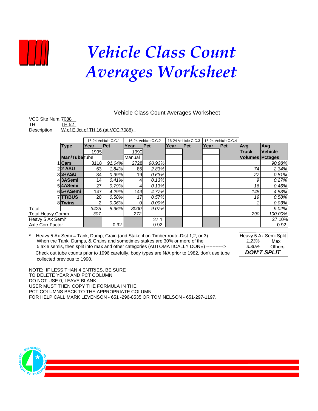

## *Vehicle Class Count Averages Worksheet*

#### Vehicle Class Count Averages Worksheet

| VCC Site Num. 7088 |                                   |
|--------------------|-----------------------------------|
| TH                 | TH 52                             |
| Description        | W of E Jct of TH 16 (at VCC 7088) |

|                  |                       | 16-24 Vehicle C.C.1 |            | 16-24 Vehicle C.C.2 |          | 16-24 Vehicle C.C.3 |     | 16-24 Vehicle C.C.4 |     |                        |                |
|------------------|-----------------------|---------------------|------------|---------------------|----------|---------------------|-----|---------------------|-----|------------------------|----------------|
|                  | <b>Type</b>           | Year                | <b>Pct</b> | Year                | Pct      | Year                | Pct | Year                | Pct | <b>Avg</b>             | <b>Avg</b>     |
|                  |                       | 1995                |            | 1990                |          |                     |     |                     |     | <b>Truck</b>           | <b>Vehicle</b> |
|                  | <b>Man/Tube</b> tube  |                     |            | Manual              |          |                     |     |                     |     | <b>Volumes Pctages</b> |                |
|                  | 1 Cars                | 3118                | 91.04%     | 2728                | 90.93%   |                     |     |                     |     |                        | 90.98%         |
|                  | $2$  2 ASU            | 63                  | 1.84%      | 85                  | 2.83%    |                     |     |                     |     | 74                     | 2.34%          |
|                  | $3$ <sub>3</sub> +ASU | 34                  | 0.99%      | 19                  | 0.63%    |                     |     |                     |     | 27                     | 0.81%          |
|                  | 43ASemi               | 14                  | 0.41%      | 41                  | 0.13%    |                     |     |                     |     | 9                      | 0.27%          |
|                  | 54ASemi               | 27                  | 0.79%      | 41                  | 0.13%    |                     |     |                     |     | 16                     | 0.46%          |
|                  | 65+ASemi              | 147                 | 4.29%      | 143                 | 4.77%    |                     |     |                     |     | 145                    | 4.53%          |
|                  | 7TT/BUS               | <b>20</b>           | 0.58%      | 17 <sup>1</sup>     | 0.57%    |                     |     |                     |     | 19                     | 0.58%          |
|                  | 8 <sup>Twins</sup>    | 2                   | 0.06%      | 01                  | $0.00\%$ |                     |     |                     |     |                        | 0.03%          |
| Total            |                       | 3425                | 8.96%      | 3000                | 9.07%    |                     |     |                     |     |                        | 9.02%          |
| Total Heavy Comm |                       | 307                 |            | 272                 |          |                     |     |                     |     | 290                    | 100.00%        |
| Heavy 5 Ax Semi* |                       |                     |            |                     | 27.1     |                     |     |                     |     |                        | 27.10%         |
| Axle Corr Factor |                       |                     | 0.92       |                     | 0.92     |                     |     |                     |     |                        | 0.92           |

Heavy 5 Ax Semi = Tank, Dump, Grain (and Stake if on Timber route-Dist 1,2, or 3) Heavy 5 Ax Semi Split When the Tank, Dumps, & Grains and sometimes stakes are 30% or more of the *1.23%* 5 axle semis, then split into max and other categories (AUTOMATICALLY DONE) -----------> *3.30%*

*DON'T SPLIT* Max **Others** 

Check out tube counts prior to 1996 carefully, body types are N/A prior to 1982, don't use tube collected previous to 1990.

NOTE: IF LESS THAN 4 ENTRIES, BE SURE TO DELETE YEAR AND PCT COLUMN DO NOT USE 0, LEAVE BLANK. USER MUST THEN COPY THE FORMULA IN THE PCT COLUMNS BACK TO THE APPROPRIATE COLUMN FOR HELP CALL MARK LEVENSON - 651 -296-8535 OR TOM NELSON - 651-297-1197.

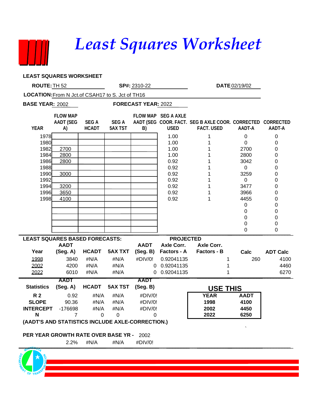### *Least Squares Worksheet*

**LEAST SQUARES WORKSHEET**

| ROUTE: TH 52                                      |                                                  |                             | SP#: 2310-22                  |              | DATE 02/19/02                      |                                                                                 |                  |                  |  |  |
|---------------------------------------------------|--------------------------------------------------|-----------------------------|-------------------------------|--------------|------------------------------------|---------------------------------------------------------------------------------|------------------|------------------|--|--|
| LOCATION: From N Jct. of CSAH17 to S. Jct of TH16 |                                                  |                             |                               |              |                                    |                                                                                 |                  |                  |  |  |
| <b>BASE YEAR: 2002</b>                            |                                                  |                             | FORECAST YEAR: 2022           |              |                                    |                                                                                 |                  |                  |  |  |
| <b>YEAR</b>                                       | <b>FLOW MAP</b><br><b>AADT (SEG</b><br>A)        | <b>SEGA</b><br><b>HCADT</b> | <b>SEGA</b><br><b>5AX TST</b> | B)           | FLOW MAP SEG A AXLE<br><b>USED</b> | AADT (SEG COOR. FACT. SEG B AXLE COOR. CORRECTED CORRECTED<br><b>FACT. USED</b> | AADT-A           | AADT-A           |  |  |
| 1978                                              |                                                  |                             |                               |              | 1.00                               | 1                                                                               | $\mathbf 0$      | 0                |  |  |
| 1980                                              |                                                  |                             |                               |              | 1.00                               | 1                                                                               | $\Omega$         | 0                |  |  |
| 1982                                              | 2700                                             |                             |                               |              | 1.00                               |                                                                                 | 2700             | 0                |  |  |
| 1984<br>1986                                      | 2800<br>2800                                     |                             |                               |              | 1.00<br>0.92                       | 1                                                                               | 2800<br>3042     | 0                |  |  |
| 1988                                              |                                                  |                             |                               |              | 0.92                               | 1                                                                               | 0                | 0<br>0           |  |  |
| 1990                                              | 3000                                             |                             |                               |              | 0.92                               | 1                                                                               | 3259             | 0                |  |  |
| 1992                                              |                                                  |                             |                               |              | 0.92                               | 1                                                                               | 0                | 0                |  |  |
| 1994                                              | 3200                                             |                             |                               |              | 0.92                               | 1                                                                               | 3477             | 0                |  |  |
| 1996                                              | 3650                                             |                             |                               |              | 0.92                               | 1                                                                               | 3966             | 0                |  |  |
| 1998                                              | 4100                                             |                             |                               |              | 0.92                               | 1                                                                               | 4455             | 0                |  |  |
|                                                   |                                                  |                             |                               |              |                                    |                                                                                 | $\pmb{0}$        | 0                |  |  |
|                                                   |                                                  |                             |                               |              |                                    |                                                                                 | 0                | 0                |  |  |
|                                                   |                                                  |                             |                               |              |                                    |                                                                                 | 0<br>$\mathbf 0$ | $\mathbf 0$<br>0 |  |  |
|                                                   |                                                  |                             |                               |              |                                    |                                                                                 | 0                | 0                |  |  |
| <b>LEAST SQUARES BASED FORECASTS:</b>             |                                                  |                             |                               |              | <b>PROJECTED</b>                   |                                                                                 |                  |                  |  |  |
|                                                   | <b>AADT</b>                                      |                             |                               | <b>AADT</b>  | <b>Axle Corr.</b>                  | <b>Axle Corr.</b>                                                               |                  |                  |  |  |
| Year                                              | (Seg. A)                                         | <b>HCADT</b>                | <b>5AX TXT</b>                | (Seg. B)     | Factors - A                        | Factors - B                                                                     | Calc             | <b>ADT Calc</b>  |  |  |
| 1998                                              | 3840                                             | #N/A                        | #N/A                          | #DIV/0!      | 0.92041135                         | 1                                                                               | 260              | 4100             |  |  |
| 2002                                              | 4200                                             | #N/A                        | #N/A                          |              | 0 0.92041135                       | 1                                                                               |                  | 4460             |  |  |
| 2022                                              | 6010                                             | #N/A                        | #N/A                          |              | 0 0.92041135                       | 1                                                                               |                  | 6270             |  |  |
|                                                   | <b>AADT</b>                                      |                             |                               | <b>AADT</b>  |                                    |                                                                                 |                  |                  |  |  |
| <b>Statistics</b>                                 | (Seg. A)                                         | <b>HCADT</b>                | <b>5AX TST</b>                | (Seg. B)     |                                    | <b>USE THIS</b>                                                                 |                  |                  |  |  |
| <b>R2</b>                                         | 0.92                                             | #N/A                        | #N/A                          | #DIV/0!      |                                    | <b>YEAR</b>                                                                     | <b>AADT</b>      |                  |  |  |
| <b>SLOPE</b>                                      | 90.36                                            | #N/A                        | #N/A                          | #DIV/0!      |                                    | 1998                                                                            | 4100             |                  |  |  |
| <b>INTERCEPT</b><br>N                             | $-176698$<br>7                                   | #N/A<br>0                   | #N/A<br>$\mathbf 0$           | #DIV/0!<br>0 |                                    | 2002<br>2022                                                                    | 4450<br>6250     |                  |  |  |
|                                                   | (AADT'S AND STATISTICS INCLUDE AXLE-CORRECTION.) |                             |                               |              |                                    |                                                                                 |                  |                  |  |  |
|                                                   | PER YEAR GROWTH RATE OVER BASE YR - 2002         |                             |                               |              |                                    |                                                                                 |                  |                  |  |  |
|                                                   | 2.2%                                             | #N/A                        | #N/A                          | #DIV/0!      |                                    |                                                                                 |                  |                  |  |  |
|                                                   |                                                  |                             |                               |              |                                    |                                                                                 |                  |                  |  |  |

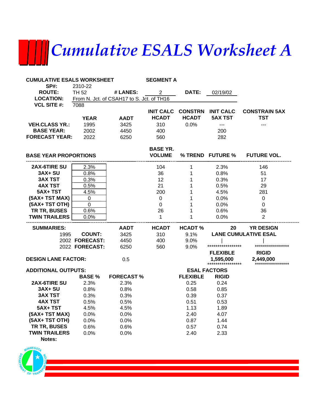# *Cumulative ESALS Worksheet A*

| <b>CUMULATIVE ESALS WORKSHEET</b> |                |                                           | <b>SEGMENT A</b> |                 |                     |                             |
|-----------------------------------|----------------|-------------------------------------------|------------------|-----------------|---------------------|-----------------------------|
| <b>SP#:</b>                       | 2310-22        |                                           |                  |                 |                     |                             |
| <b>ROUTE:</b>                     | <b>TH 52</b>   | # LANES:                                  | $\overline{2}$   | DATE:           | 02/19/02            |                             |
| <b>LOCATION:</b>                  |                | From N. Jct. of CSAH17 to S. Jct. of TH16 |                  |                 |                     |                             |
| <b>VCL SITE #:</b>                | 7088           |                                           |                  |                 |                     |                             |
|                                   |                |                                           | <b>INIT CALC</b> | <b>CONSTRN</b>  | <b>INIT CALC</b>    | <b>CONSTRAIN 5AX</b>        |
|                                   | <b>YEAR</b>    | <b>AADT</b>                               | <b>HCADT</b>     | <b>HCADT</b>    | <b>5AX TST</b>      | <b>TST</b>                  |
| <b>VEH.CLASS YR.:</b>             | 1995           | 3425                                      | 310              | 0.0%            | $\overline{a}$      | ---                         |
| <b>BASE YEAR:</b>                 | 2002           | 4450                                      | 400              |                 | 200                 |                             |
| <b>FORECAST YEAR:</b>             | 2022           | 6250                                      | 560              |                 | 282                 |                             |
|                                   |                |                                           | <b>BASE YR.</b>  |                 |                     |                             |
| <b>BASE YEAR PROPORTIONS</b>      |                |                                           | <b>VOLUME</b>    |                 | % TREND FUTURE %    | <b>FUTURE VOL.</b>          |
| <b>2AX-6TIRE SU</b>               | 2.3%           |                                           | 104              | 1               | 2.3%                | 146                         |
| <b>3AX+ SU</b>                    | 0.8%           |                                           | 36               | 1               | 0.8%                | 51                          |
| <b>3AX TST</b>                    | 0.3%           |                                           | 12               | 1               | 0.3%                | 17                          |
| <b>4AX TST</b>                    | 0.5%           |                                           | 21               | 1               | 0.5%                | 29                          |
| 5AX+TST                           | 4.5%           |                                           | 200              | 1               | 4.5%                | 281                         |
| (5AX+ TST MAX)                    | 0              |                                           | $\mathbf 0$      | 1               | 0.0%                | 0                           |
| (5AX+ TST OTH)                    | $\pmb{0}$      |                                           | 0                | 1               | 0.0%                | 0                           |
| TR TR, BUSES                      | 0.6%           |                                           | 26               | 1               | 0.6%                | 36                          |
| <b>TWIN TRAILERS</b>              | 0.0%           |                                           | 1                | 1               | 0.0%                | $\overline{2}$              |
| <b>SUMMARIES:</b>                 |                | <b>AADT</b>                               | <b>HCADT</b>     | <b>HCADT%</b>   | 20                  | <b>YR DESIGN</b>            |
| 1995                              | <b>COUNT:</b>  | 3425                                      | 310              | 9.1%            |                     | <b>LANE CUMULATIVE ESAL</b> |
|                                   | 2002 FORECAST: | 4450                                      | 400              | 9.0%            |                     |                             |
|                                   | 2022 FORECAST: | 6250                                      | 560              | 9.0%            | ****************    | *****************           |
|                                   |                |                                           |                  |                 | <b>FLEXIBLE</b>     | <b>RIGID</b>                |
| <b>DESIGN LANE FACTOR:</b>        |                | 0.5                                       |                  |                 | 1,595,000           | 2,449,000                   |
| <b>ADDITIONAL OUTPUTS:</b>        |                |                                           |                  |                 | <b>ESAL FACTORS</b> |                             |
|                                   | <b>BASE %</b>  | <b>FORECAST %</b>                         |                  | <b>FLEXIBLE</b> | <b>RIGID</b>        |                             |
| 2AX-6TIRE SU                      | 2.3%           | 2.3%                                      |                  | 0.25            | 0.24                |                             |
| <b>3AX+ SU</b>                    | 0.8%           | 0.8%                                      |                  | 0.58            | 0.85                |                             |
| <b>3AX TST</b>                    | 0.3%           | 0.3%                                      |                  | 0.39            | 0.37                |                             |
| <b>4AX TST</b>                    | 0.5%           | 0.5%                                      |                  | 0.51            | 0.53                |                             |
| 5AX+ TST                          | 4.5%           | 4.5%                                      |                  | 1.13            | 1.89                |                             |
| (5AX+ TST MAX)                    | 0.0%           | 0.0%                                      |                  | 2.40            | 4.07                |                             |
| (5AX+ TST OTH)                    | 0.0%           | 0.0%                                      |                  | 0.87            | 1.44                |                             |
| TR TR, BUSES                      | 0.6%           | 0.6%                                      |                  | 0.57            | 0.74                |                             |
| <b>TWIN TRAILERS</b>              | 0.0%           | 0.0%                                      |                  | 2.40            | 2.33                |                             |
| Notes:                            |                |                                           |                  |                 |                     |                             |